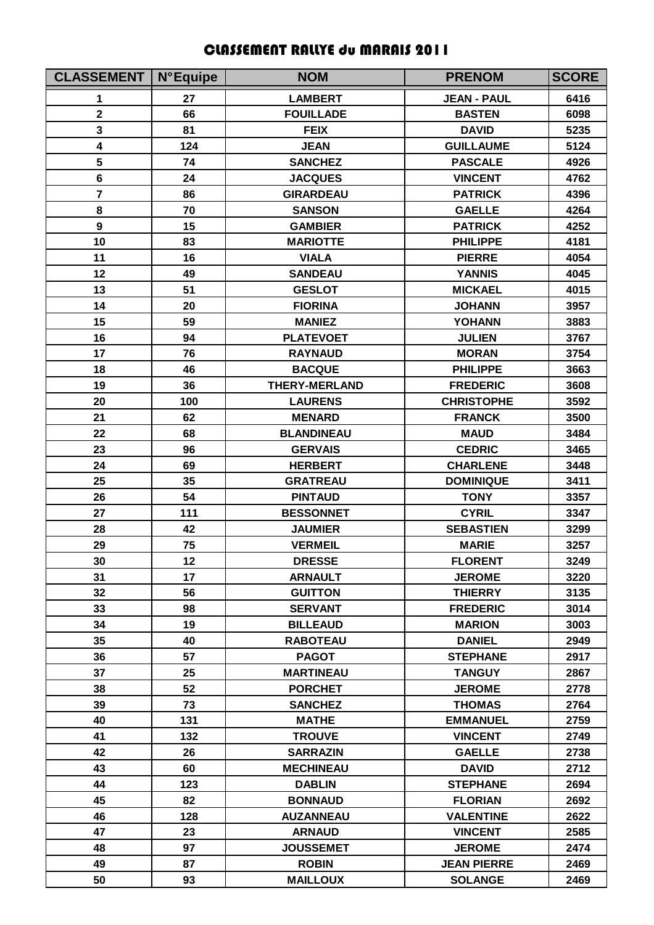## CLASSEMENT RALLYE du MARAIS 2011

| <b>CLASSEMENT   N°Equipe</b> |     | <b>NOM</b>           | <b>PRENOM</b>      | <b>SCORE</b> |
|------------------------------|-----|----------------------|--------------------|--------------|
| 1                            | 27  | <b>LAMBERT</b>       | <b>JEAN - PAUL</b> | 6416         |
| $\overline{\mathbf{2}}$      | 66  | <b>FOUILLADE</b>     | <b>BASTEN</b>      | 6098         |
| 3                            | 81  | <b>FEIX</b>          | <b>DAVID</b>       | 5235         |
| 4                            | 124 | <b>JEAN</b>          | <b>GUILLAUME</b>   | 5124         |
| 5                            | 74  | <b>SANCHEZ</b>       | <b>PASCALE</b>     | 4926         |
| $6\phantom{1}$               | 24  | <b>JACQUES</b>       | <b>VINCENT</b>     | 4762         |
| $\overline{7}$               | 86  | <b>GIRARDEAU</b>     | <b>PATRICK</b>     | 4396         |
| 8                            | 70  | <b>SANSON</b>        | <b>GAELLE</b>      | 4264         |
| $\boldsymbol{9}$             | 15  | <b>GAMBIER</b>       | <b>PATRICK</b>     | 4252         |
| 10                           | 83  | <b>MARIOTTE</b>      | <b>PHILIPPE</b>    | 4181         |
| 11                           | 16  | <b>VIALA</b>         | <b>PIERRE</b>      | 4054         |
| 12                           | 49  | <b>SANDEAU</b>       | <b>YANNIS</b>      | 4045         |
| 13                           | 51  | <b>GESLOT</b>        | <b>MICKAEL</b>     | 4015         |
| 14                           | 20  | <b>FIORINA</b>       | <b>JOHANN</b>      | 3957         |
| 15                           | 59  | <b>MANIEZ</b>        | <b>YOHANN</b>      | 3883         |
| 16                           | 94  | <b>PLATEVOET</b>     | <b>JULIEN</b>      | 3767         |
| 17                           | 76  | <b>RAYNAUD</b>       | <b>MORAN</b>       | 3754         |
| 18                           | 46  | <b>BACQUE</b>        | <b>PHILIPPE</b>    | 3663         |
| 19                           | 36  | <b>THERY-MERLAND</b> | <b>FREDERIC</b>    | 3608         |
| 20                           | 100 | <b>LAURENS</b>       | <b>CHRISTOPHE</b>  | 3592         |
| 21                           | 62  | <b>MENARD</b>        | <b>FRANCK</b>      | 3500         |
| 22                           | 68  | <b>BLANDINEAU</b>    | <b>MAUD</b>        | 3484         |
| 23                           | 96  | <b>GERVAIS</b>       | <b>CEDRIC</b>      | 3465         |
| 24                           | 69  | <b>HERBERT</b>       | <b>CHARLENE</b>    | 3448         |
| 25                           | 35  | <b>GRATREAU</b>      | <b>DOMINIQUE</b>   | 3411         |
| 26                           | 54  | <b>PINTAUD</b>       | <b>TONY</b>        | 3357         |
| 27                           | 111 | <b>BESSONNET</b>     | <b>CYRIL</b>       | 3347         |
| 28                           | 42  | <b>JAUMIER</b>       | <b>SEBASTIEN</b>   | 3299         |
| 29                           | 75  | <b>VERMEIL</b>       | <b>MARIE</b>       | 3257         |
| 30                           | 12  | <b>DRESSE</b>        | <b>FLORENT</b>     | 3249         |
| 31                           | 17  | <b>ARNAULT</b>       | <b>JEROME</b>      | 3220         |
| 32                           | 56  | <b>GUITTON</b>       | <b>THIERRY</b>     | 3135         |
| 33                           | 98  | <b>SERVANT</b>       | <b>FREDERIC</b>    | 3014         |
| 34                           | 19  | <b>BILLEAUD</b>      | <b>MARION</b>      | 3003         |
| 35                           | 40  | <b>RABOTEAU</b>      | <b>DANIEL</b>      | 2949         |
| 36                           | 57  | <b>PAGOT</b>         | <b>STEPHANE</b>    | 2917         |
| 37                           | 25  | <b>MARTINEAU</b>     | <b>TANGUY</b>      | 2867         |
| 38                           | 52  | <b>PORCHET</b>       | <b>JEROME</b>      | 2778         |
| 39                           | 73  | <b>SANCHEZ</b>       | <b>THOMAS</b>      | 2764         |
| 40                           | 131 | <b>MATHE</b>         | <b>EMMANUEL</b>    | 2759         |
| 41                           | 132 | <b>TROUVE</b>        | <b>VINCENT</b>     | 2749         |
| 42                           | 26  | <b>SARRAZIN</b>      | <b>GAELLE</b>      | 2738         |
| 43                           | 60  | <b>MECHINEAU</b>     | <b>DAVID</b>       | 2712         |
| 44                           | 123 | <b>DABLIN</b>        | <b>STEPHANE</b>    | 2694         |
| 45                           | 82  | <b>BONNAUD</b>       | <b>FLORIAN</b>     | 2692         |
| 46                           | 128 | <b>AUZANNEAU</b>     | <b>VALENTINE</b>   | 2622         |
| 47                           | 23  | <b>ARNAUD</b>        | <b>VINCENT</b>     | 2585         |
| 48                           | 97  | <b>JOUSSEMET</b>     | <b>JEROME</b>      | 2474         |
| 49                           | 87  | <b>ROBIN</b>         | <b>JEAN PIERRE</b> | 2469         |
| 50                           | 93  | <b>MAILLOUX</b>      | <b>SOLANGE</b>     | 2469         |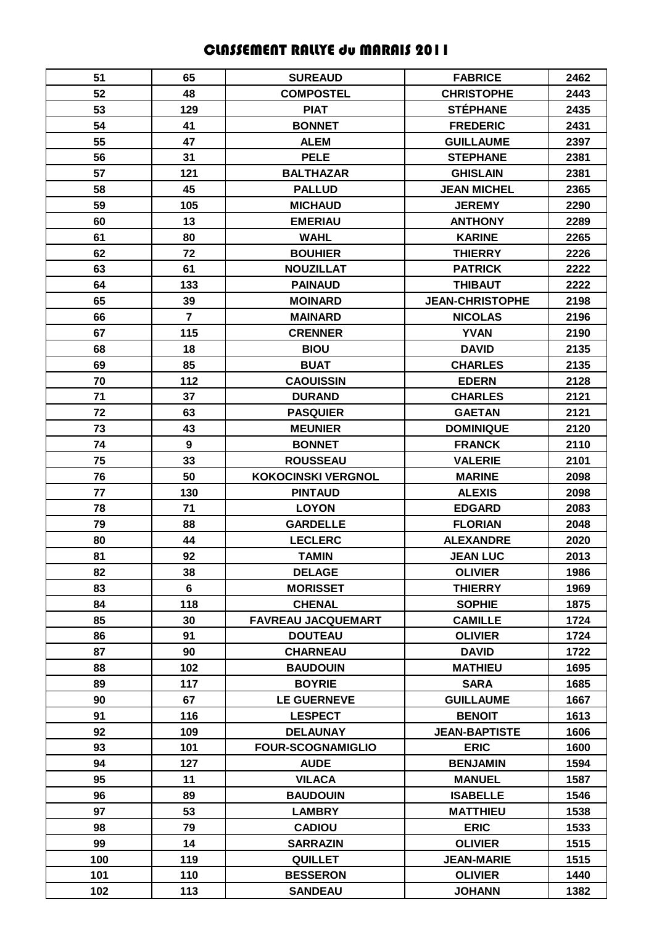## CLASSEMENT RALLYE du MARAIS 2011

| 51  | 65             | <b>SUREAUD</b>            | <b>FABRICE</b>         | 2462 |
|-----|----------------|---------------------------|------------------------|------|
| 52  | 48             | <b>COMPOSTEL</b>          | <b>CHRISTOPHE</b>      | 2443 |
| 53  | 129            | <b>PIAT</b>               | <b>STÉPHANE</b>        | 2435 |
| 54  | 41             | <b>BONNET</b>             | <b>FREDERIC</b>        | 2431 |
| 55  | 47             | <b>ALEM</b>               | <b>GUILLAUME</b>       | 2397 |
| 56  | 31             | <b>PELE</b>               | <b>STEPHANE</b>        | 2381 |
| 57  | 121            | <b>BALTHAZAR</b>          | <b>GHISLAIN</b>        | 2381 |
| 58  | 45             | <b>PALLUD</b>             | <b>JEAN MICHEL</b>     | 2365 |
| 59  | 105            | <b>MICHAUD</b>            | <b>JEREMY</b>          | 2290 |
| 60  | 13             | <b>EMERIAU</b>            | <b>ANTHONY</b>         | 2289 |
| 61  | 80             | <b>WAHL</b>               | <b>KARINE</b>          | 2265 |
| 62  | 72             | <b>BOUHIER</b>            | <b>THIERRY</b>         | 2226 |
| 63  | 61             | <b>NOUZILLAT</b>          | <b>PATRICK</b>         | 2222 |
| 64  | 133            | <b>PAINAUD</b>            | <b>THIBAUT</b>         | 2222 |
| 65  | 39             | <b>MOINARD</b>            | <b>JEAN-CHRISTOPHE</b> | 2198 |
| 66  | $\overline{7}$ | <b>MAINARD</b>            | <b>NICOLAS</b>         | 2196 |
| 67  | 115            | <b>CRENNER</b>            | <b>YVAN</b>            | 2190 |
| 68  | 18             | <b>BIOU</b>               | <b>DAVID</b>           | 2135 |
| 69  | 85             | <b>BUAT</b>               | <b>CHARLES</b>         | 2135 |
| 70  | 112            | <b>CAOUISSIN</b>          | <b>EDERN</b>           | 2128 |
| 71  | 37             | <b>DURAND</b>             | <b>CHARLES</b>         | 2121 |
| 72  | 63             | <b>PASQUIER</b>           | <b>GAETAN</b>          | 2121 |
| 73  | 43             | <b>MEUNIER</b>            | <b>DOMINIQUE</b>       | 2120 |
| 74  | 9              | <b>BONNET</b>             | <b>FRANCK</b>          | 2110 |
| 75  | 33             | <b>ROUSSEAU</b>           | <b>VALERIE</b>         | 2101 |
| 76  | 50             | <b>KOKOCINSKI VERGNOL</b> | <b>MARINE</b>          | 2098 |
| 77  | 130            | <b>PINTAUD</b>            | <b>ALEXIS</b>          | 2098 |
| 78  | 71             | <b>LOYON</b>              | <b>EDGARD</b>          | 2083 |
| 79  | 88             | <b>GARDELLE</b>           | <b>FLORIAN</b>         | 2048 |
| 80  | 44             | <b>LECLERC</b>            | <b>ALEXANDRE</b>       | 2020 |
| 81  | 92             | <b>TAMIN</b>              | <b>JEAN LUC</b>        | 2013 |
| 82  | 38             | <b>DELAGE</b>             | <b>OLIVIER</b>         | 1986 |
| 83  | $6\phantom{a}$ | <b>MORISSET</b>           | <b>THIERRY</b>         | 1969 |
| 84  | 118            | <b>CHENAL</b>             | <b>SOPHIE</b>          | 1875 |
| 85  | 30             | <b>FAVREAU JACQUEMART</b> | <b>CAMILLE</b>         | 1724 |
| 86  | 91             | <b>DOUTEAU</b>            | <b>OLIVIER</b>         | 1724 |
| 87  | 90             | <b>CHARNEAU</b>           | <b>DAVID</b>           | 1722 |
| 88  | 102            | <b>BAUDOUIN</b>           | <b>MATHIEU</b>         | 1695 |
| 89  | 117            | <b>BOYRIE</b>             | <b>SARA</b>            | 1685 |
| 90  | 67             | <b>LE GUERNEVE</b>        | <b>GUILLAUME</b>       | 1667 |
| 91  | 116            | <b>LESPECT</b>            | <b>BENOIT</b>          | 1613 |
| 92  | 109            | <b>DELAUNAY</b>           | <b>JEAN-BAPTISTE</b>   | 1606 |
| 93  | 101            | <b>FOUR-SCOGNAMIGLIO</b>  | <b>ERIC</b>            | 1600 |
| 94  | 127            | <b>AUDE</b>               | <b>BENJAMIN</b>        | 1594 |
| 95  | 11             | <b>VILACA</b>             | <b>MANUEL</b>          | 1587 |
| 96  | 89             | <b>BAUDOUIN</b>           | <b>ISABELLE</b>        | 1546 |
| 97  | 53             | <b>LAMBRY</b>             | <b>MATTHIEU</b>        | 1538 |
| 98  | 79             | <b>CADIOU</b>             | <b>ERIC</b>            | 1533 |
| 99  | 14             | <b>SARRAZIN</b>           | <b>OLIVIER</b>         | 1515 |
| 100 | 119            | <b>QUILLET</b>            | <b>JEAN-MARIE</b>      | 1515 |
| 101 | 110            | <b>BESSERON</b>           | <b>OLIVIER</b>         | 1440 |
| 102 | 113            | <b>SANDEAU</b>            | <b>JOHANN</b>          | 1382 |